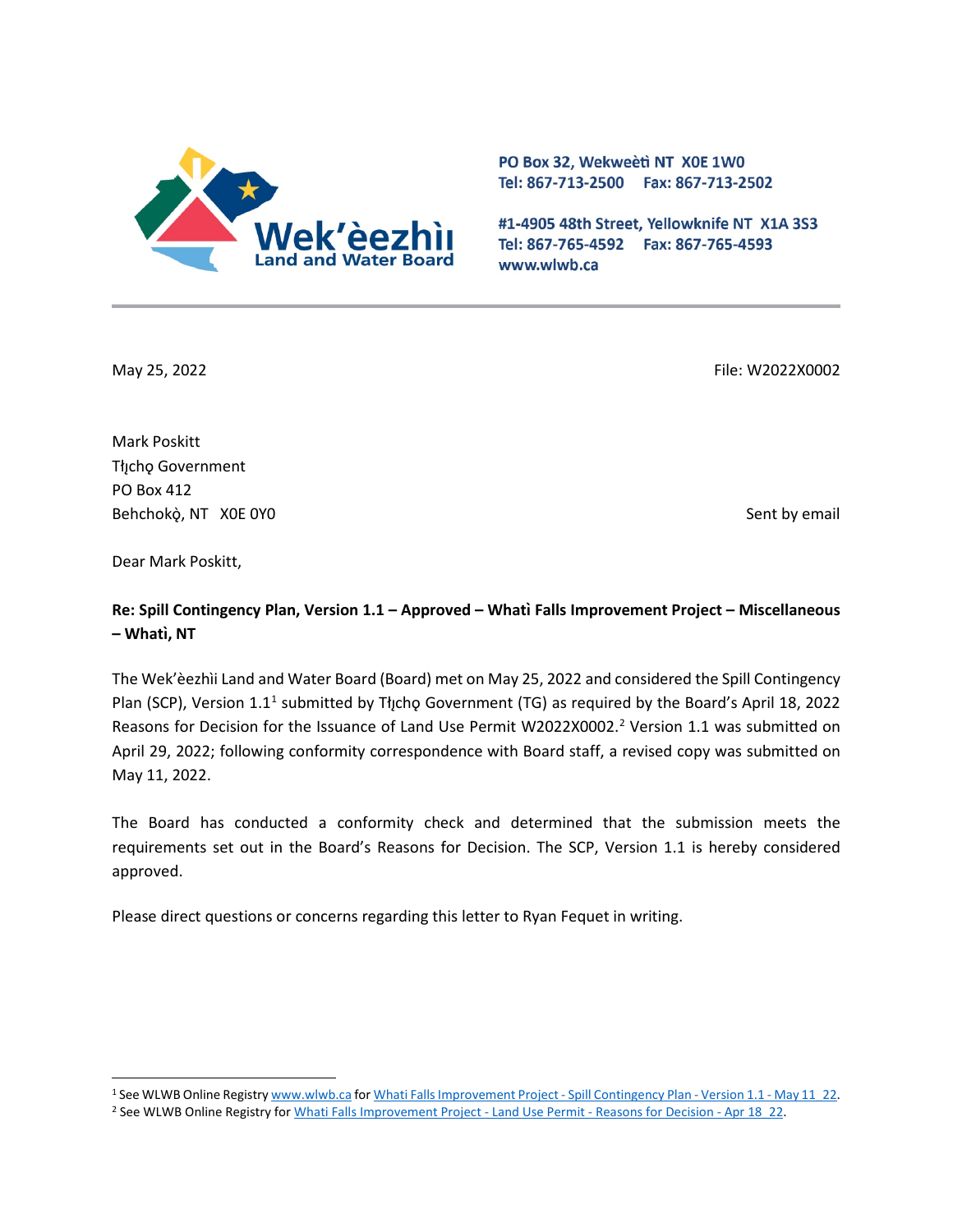

PO Box 32, Wekweeti NT X0E 1W0 Tel: 867-713-2500 Fax: 867-713-2502

#1-4905 48th Street, Yellowknife NT X1A 3S3 Tel: 867-765-4592 Fax: 867-765-4593 www.wlwb.ca

May 25, 2022 File: W2022X0002

Mark Poskitt Tłıcho Government PO Box 412 Behchokò, NT XOE 0YO Sent by email

Dear Mark Poskitt,

**Re: Spill Contingency Plan, Version 1.1 – Approved – Whatı̀Falls Improvement Project – Miscellaneous – Whatı, NT ̀**

The Wek'èezhìi Land and Water Board (Board) met on May 25, 2022 and considered the Spill Contingency Plan (SCP), Version 1.1<sup>1</sup> submitted by Tłicho Government (TG) as required by the Board's April 18, 2022 Reasons for Decision for the Issuance of Land Use Permit W[2](#page-0-1)022X0002.<sup>2</sup> Version 1.1 was submitted on April 29, 2022; following conformity correspondence with Board staff, a revised copy was submitted on May 11, 2022.

The Board has conducted a conformity check and determined that the submission meets the requirements set out in the Board's Reasons for Decision. The SCP, Version 1.1 is hereby considered approved.

Please direct questions or concerns regarding this letter to Ryan Fequet in writing.

<span id="page-0-0"></span><sup>1</sup> See WLWB Online Registr[y www.wlwb.ca](http://www.wlwb.ca/) fo[r Whati Falls Improvement Project](http://registry.mvlwb.ca/Documents/W2022X0002/Whati%20Falls%20Improvement%20Project%20-%20Spill%20Contingency%20Plan%20-%20Version%201.1%20-%20May%2011_22.pdf) - Spill Contingency Plan - Version 1.1 - May 11\_22.

<span id="page-0-1"></span><sup>&</sup>lt;sup>2</sup> See WLWB Online Registry for [Whati Falls Improvement Project -](http://registry.mvlwb.ca/Documents/W2022X0002/Whati%20Falls%20Improvement%20Project%20-%20Land%20Use%20Permit%20-%20Reasons%20for%20Decision%20-%20Apr%2018_22.pdf) Land Use Permit - Reasons for Decision - Apr 18\_22.